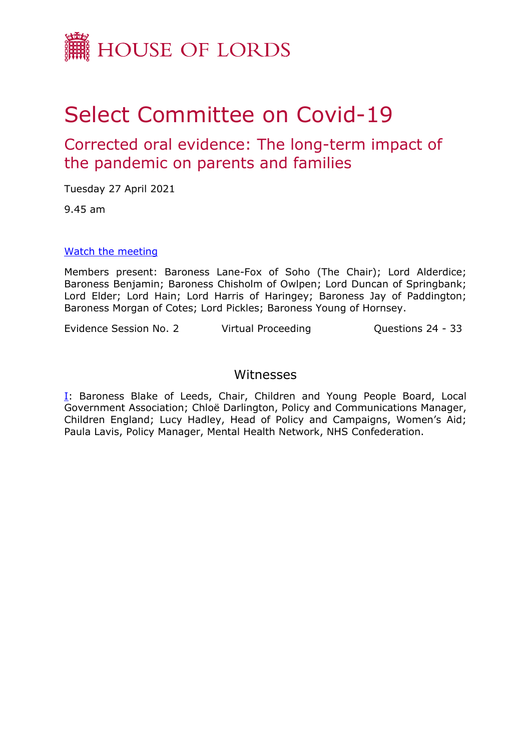

## Select Committee on Covid-19

Corrected oral evidence: The long-term impact of the pandemic on parents and families

Tuesday 27 April 2021

9.45 am

## [Watch](https://www.parliamentlive.tv/Event/Index/774856c9-048b-4834-80ea-9788729c0296) [the](https://www.parliamentlive.tv/Event/Index/774856c9-048b-4834-80ea-9788729c0296) [meeting](https://www.parliamentlive.tv/Event/Index/774856c9-048b-4834-80ea-9788729c0296)

Members present: Baroness Lane-Fox of Soho (The Chair); Lord Alderdice; Baroness Benjamin; Baroness Chisholm of Owlpen; Lord Duncan of Springbank; Lord Elder; Lord Hain; Lord Harris of Haringey; Baroness Jay of Paddington; Baroness Morgan of Cotes; Lord Pickles; Baroness Young of Hornsey.

Evidence Session No. 2 Virtual Proceeding Cuestions 24 - 33

## Witnesses

[I:](#page-1-0) Baroness Blake of Leeds, Chair, Children and Young People Board, Local Government Association; Chloë Darlington, Policy and Communications Manager, Children England; Lucy Hadley, Head of Policy and Campaigns, Women's Aid; Paula Lavis, Policy Manager, Mental Health Network, NHS Confederation.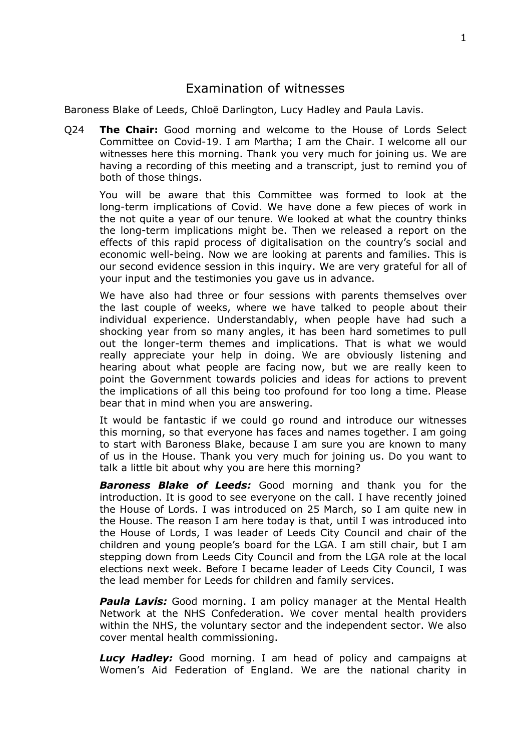## <span id="page-1-0"></span>Examination of witnesses

Baroness Blake of Leeds, Chloë Darlington, Lucy Hadley and Paula Lavis.

Q24 **The Chair:** Good morning and welcome to the House of Lords Select Committee on Covid-19. I am Martha; I am the Chair. I welcome all our witnesses here this morning. Thank you very much for joining us. We are having a recording of this meeting and a transcript, just to remind you of both of those things.

You will be aware that this Committee was formed to look at the long-term implications of Covid. We have done a few pieces of work in the not quite a year of our tenure. We looked at what the country thinks the long-term implications might be. Then we released a report on the effects of this rapid process of digitalisation on the country's social and economic well-being. Now we are looking at parents and families. This is our second evidence session in this inquiry. We are very grateful for all of your input and the testimonies you gave us in advance.

We have also had three or four sessions with parents themselves over the last couple of weeks, where we have talked to people about their individual experience. Understandably, when people have had such a shocking year from so many angles, it has been hard sometimes to pull out the longer-term themes and implications. That is what we would really appreciate your help in doing. We are obviously listening and hearing about what people are facing now, but we are really keen to point the Government towards policies and ideas for actions to prevent the implications of all this being too profound for too long a time. Please bear that in mind when you are answering.

It would be fantastic if we could go round and introduce our witnesses this morning, so that everyone has faces and names together. I am going to start with Baroness Blake, because I am sure you are known to many of us in the House. Thank you very much for joining us. Do you want to talk a little bit about why you are here this morning?

*Baroness Blake of Leeds:* Good morning and thank you for the introduction. It is good to see everyone on the call. I have recently joined the House of Lords. I was introduced on 25 March, so I am quite new in the House. The reason I am here today is that, until I was introduced into the House of Lords, I was leader of Leeds City Council and chair of the children and young people's board for the LGA. I am still chair, but I am stepping down from Leeds City Council and from the LGA role at the local elections next week. Before I became leader of Leeds City Council, I was the lead member for Leeds for children and family services.

*Paula Lavis:* Good morning. I am policy manager at the Mental Health Network at the NHS Confederation. We cover mental health providers within the NHS, the voluntary sector and the independent sector. We also cover mental health commissioning.

*Lucy Hadley:* Good morning. I am head of policy and campaigns at Women's Aid Federation of England. We are the national charity in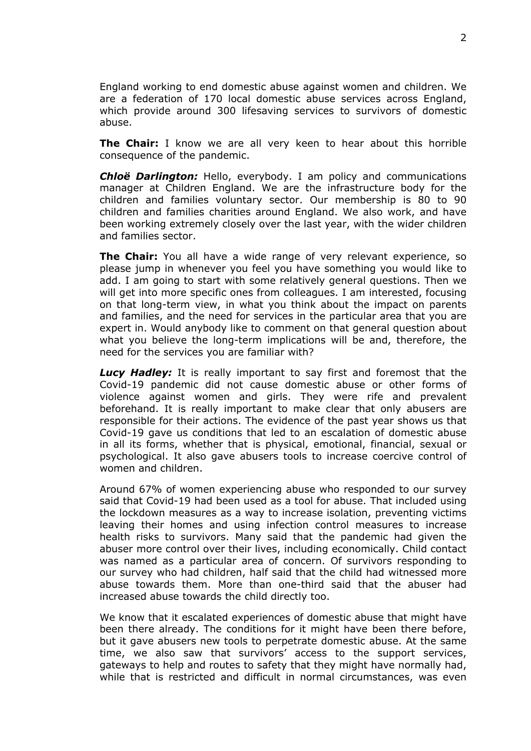England working to end domestic abuse against women and children. We are a federation of 170 local domestic abuse services across England, which provide around 300 lifesaving services to survivors of domestic abuse.

**The Chair:** I know we are all very keen to hear about this horrible consequence of the pandemic.

*Chloë Darlington:* Hello, everybody. I am policy and communications manager at Children England. We are the infrastructure body for the children and families voluntary sector. Our membership is 80 to 90 children and families charities around England. We also work, and have been working extremely closely over the last year, with the wider children and families sector.

**The Chair:** You all have a wide range of very relevant experience, so please jump in whenever you feel you have something you would like to add. I am going to start with some relatively general questions. Then we will get into more specific ones from colleagues. I am interested, focusing on that long-term view, in what you think about the impact on parents and families, and the need for services in the particular area that you are expert in. Would anybody like to comment on that general question about what you believe the long-term implications will be and, therefore, the need for the services you are familiar with?

*Lucy Hadley:* It is really important to say first and foremost that the Covid-19 pandemic did not cause domestic abuse or other forms of violence against women and girls. They were rife and prevalent beforehand. It is really important to make clear that only abusers are responsible for their actions. The evidence of the past year shows us that Covid-19 gave us conditions that led to an escalation of domestic abuse in all its forms, whether that is physical, emotional, financial, sexual or psychological. It also gave abusers tools to increase coercive control of women and children.

Around 67% of women experiencing abuse who responded to our survey said that Covid-19 had been used as a tool for abuse. That included using the lockdown measures as a way to increase isolation, preventing victims leaving their homes and using infection control measures to increase health risks to survivors. Many said that the pandemic had given the abuser more control over their lives, including economically. Child contact was named as a particular area of concern. Of survivors responding to our survey who had children, half said that the child had witnessed more abuse towards them. More than one-third said that the abuser had increased abuse towards the child directly too.

We know that it escalated experiences of domestic abuse that might have been there already. The conditions for it might have been there before, but it gave abusers new tools to perpetrate domestic abuse. At the same time, we also saw that survivors' access to the support services, gateways to help and routes to safety that they might have normally had, while that is restricted and difficult in normal circumstances, was even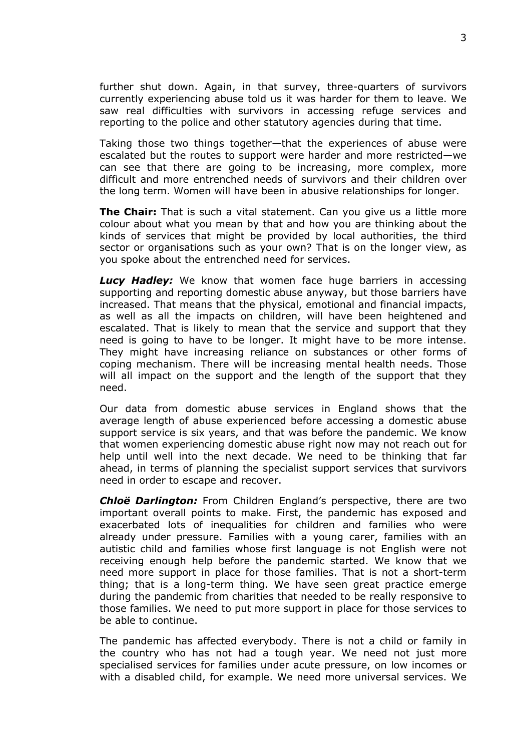further shut down. Again, in that survey, three-quarters of survivors currently experiencing abuse told us it was harder for them to leave. We saw real difficulties with survivors in accessing refuge services and reporting to the police and other statutory agencies during that time.

Taking those two things together—that the experiences of abuse were escalated but the routes to support were harder and more restricted—we can see that there are going to be increasing, more complex, more difficult and more entrenched needs of survivors and their children over the long term. Women will have been in abusive relationships for longer.

**The Chair:** That is such a vital statement. Can you give us a little more colour about what you mean by that and how you are thinking about the kinds of services that might be provided by local authorities, the third sector or organisations such as your own? That is on the longer view, as you spoke about the entrenched need for services.

*Lucy Hadley:* We know that women face huge barriers in accessing supporting and reporting domestic abuse anyway, but those barriers have increased. That means that the physical, emotional and financial impacts, as well as all the impacts on children, will have been heightened and escalated. That is likely to mean that the service and support that they need is going to have to be longer. It might have to be more intense. They might have increasing reliance on substances or other forms of coping mechanism. There will be increasing mental health needs. Those will all impact on the support and the length of the support that they need.

Our data from domestic abuse services in England shows that the average length of abuse experienced before accessing a domestic abuse support service is six years, and that was before the pandemic. We know that women experiencing domestic abuse right now may not reach out for help until well into the next decade. We need to be thinking that far ahead, in terms of planning the specialist support services that survivors need in order to escape and recover.

*Chloë Darlington:* From Children England's perspective, there are two important overall points to make. First, the pandemic has exposed and exacerbated lots of inequalities for children and families who were already under pressure. Families with a young carer, families with an autistic child and families whose first language is not English were not receiving enough help before the pandemic started. We know that we need more support in place for those families. That is not a short-term thing; that is a long-term thing. We have seen great practice emerge during the pandemic from charities that needed to be really responsive to those families. We need to put more support in place for those services to be able to continue.

The pandemic has affected everybody. There is not a child or family in the country who has not had a tough year. We need not just more specialised services for families under acute pressure, on low incomes or with a disabled child, for example. We need more universal services. We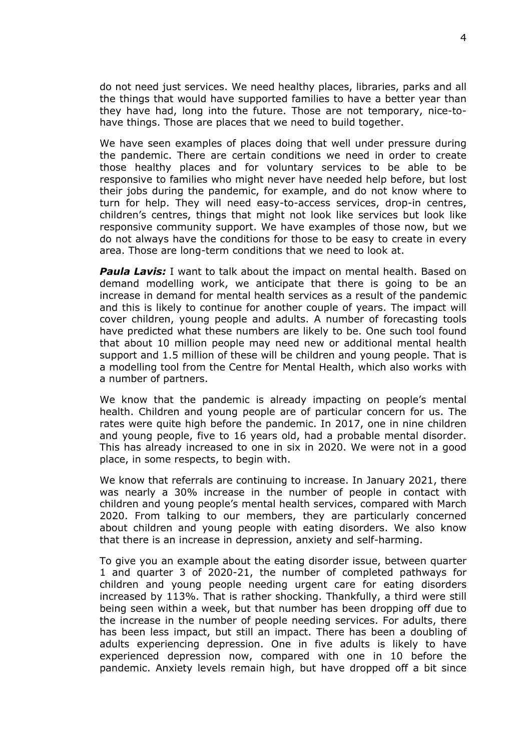do not need just services. We need healthy places, libraries, parks and all the things that would have supported families to have a better year than they have had, long into the future. Those are not temporary, nice-tohave things. Those are places that we need to build together.

We have seen examples of places doing that well under pressure during the pandemic. There are certain conditions we need in order to create those healthy places and for voluntary services to be able to be responsive to families who might never have needed help before, but lost their jobs during the pandemic, for example, and do not know where to turn for help. They will need easy-to-access services, drop-in centres, children's centres, things that might not look like services but look like responsive community support. We have examples of those now, but we do not always have the conditions for those to be easy to create in every area. Those are long-term conditions that we need to look at.

*Paula Lavis:* I want to talk about the impact on mental health. Based on demand modelling work, we anticipate that there is going to be an increase in demand for mental health services as a result of the pandemic and this is likely to continue for another couple of years. The impact will cover children, young people and adults. A number of forecasting tools have predicted what these numbers are likely to be. One such tool found that about 10 million people may need new or additional mental health support and 1.5 million of these will be children and young people. That is a modelling tool from the Centre for Mental Health, which also works with a number of partners.

We know that the pandemic is already impacting on people's mental health. Children and young people are of particular concern for us. The rates were quite high before the pandemic. In 2017, one in nine children and young people, five to 16 years old, had a probable mental disorder. This has already increased to one in six in 2020. We were not in a good place, in some respects, to begin with.

We know that referrals are continuing to increase. In January 2021, there was nearly a 30% increase in the number of people in contact with children and young people's mental health services, compared with March 2020. From talking to our members, they are particularly concerned about children and young people with eating disorders. We also know that there is an increase in depression, anxiety and self-harming.

To give you an example about the eating disorder issue, between quarter 1 and quarter 3 of 2020-21, the number of completed pathways for children and young people needing urgent care for eating disorders increased by 113%. That is rather shocking. Thankfully, a third were still being seen within a week, but that number has been dropping off due to the increase in the number of people needing services. For adults, there has been less impact, but still an impact. There has been a doubling of adults experiencing depression. One in five adults is likely to have experienced depression now, compared with one in 10 before the pandemic. Anxiety levels remain high, but have dropped off a bit since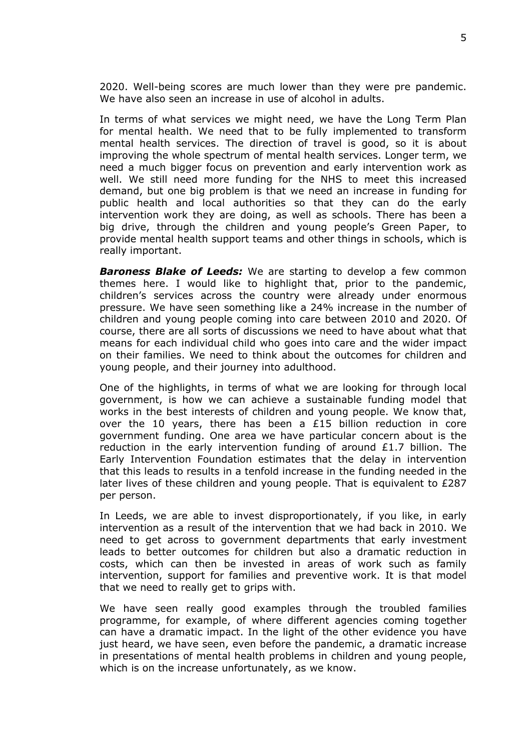2020. Well-being scores are much lower than they were pre pandemic. We have also seen an increase in use of alcohol in adults.

In terms of what services we might need, we have the Long Term Plan for mental health. We need that to be fully implemented to transform mental health services. The direction of travel is good, so it is about improving the whole spectrum of mental health services. Longer term, we need a much bigger focus on prevention and early intervention work as well. We still need more funding for the NHS to meet this increased demand, but one big problem is that we need an increase in funding for public health and local authorities so that they can do the early intervention work they are doing, as well as schools. There has been a big drive, through the children and young people's Green Paper, to provide mental health support teams and other things in schools, which is really important.

*Baroness Blake of Leeds:* We are starting to develop a few common themes here. I would like to highlight that, prior to the pandemic, children's services across the country were already under enormous pressure. We have seen something like a 24% increase in the number of children and young people coming into care between 2010 and 2020. Of course, there are all sorts of discussions we need to have about what that means for each individual child who goes into care and the wider impact on their families. We need to think about the outcomes for children and young people, and their journey into adulthood.

One of the highlights, in terms of what we are looking for through local government, is how we can achieve a sustainable funding model that works in the best interests of children and young people. We know that, over the 10 years, there has been a  $E15$  billion reduction in core government funding. One area we have particular concern about is the reduction in the early intervention funding of around  $£1.7$  billion. The Early Intervention Foundation estimates that the delay in intervention that this leads to results in a tenfold increase in the funding needed in the later lives of these children and young people. That is equivalent to £287 per person.

In Leeds, we are able to invest disproportionately, if you like, in early intervention as a result of the intervention that we had back in 2010. We need to get across to government departments that early investment leads to better outcomes for children but also a dramatic reduction in costs, which can then be invested in areas of work such as family intervention, support for families and preventive work. It is that model that we need to really get to grips with.

We have seen really good examples through the troubled families programme, for example, of where different agencies coming together can have a dramatic impact. In the light of the other evidence you have just heard, we have seen, even before the pandemic, a dramatic increase in presentations of mental health problems in children and young people, which is on the increase unfortunately, as we know.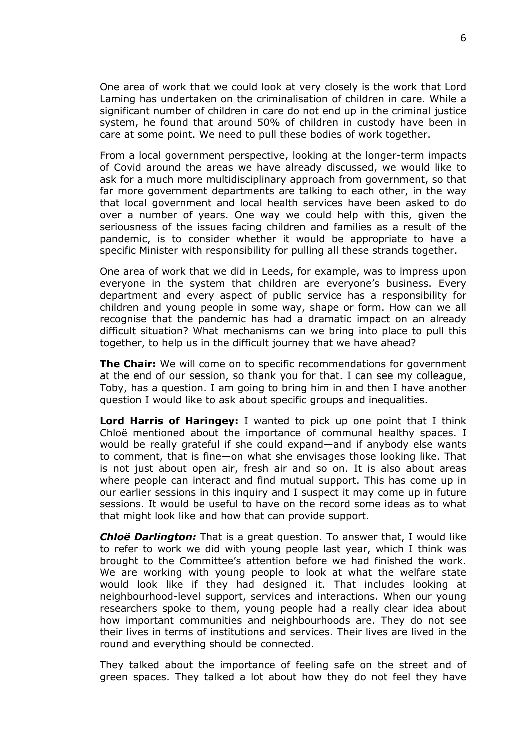One area of work that we could look at very closely is the work that Lord Laming has undertaken on the criminalisation of children in care. While a significant number of children in care do not end up in the criminal justice system, he found that around 50% of children in custody have been in care at some point. We need to pull these bodies of work together.

From a local government perspective, looking at the longer-term impacts of Covid around the areas we have already discussed, we would like to ask for a much more multidisciplinary approach from government, so that far more government departments are talking to each other, in the way that local government and local health services have been asked to do over a number of years. One way we could help with this, given the seriousness of the issues facing children and families as a result of the pandemic, is to consider whether it would be appropriate to have a specific Minister with responsibility for pulling all these strands together.

One area of work that we did in Leeds, for example, was to impress upon everyone in the system that children are everyone's business. Every department and every aspect of public service has a responsibility for children and young people in some way, shape or form. How can we all recognise that the pandemic has had a dramatic impact on an already difficult situation? What mechanisms can we bring into place to pull this together, to help us in the difficult journey that we have ahead?

**The Chair:** We will come on to specific recommendations for government at the end of our session, so thank you for that. I can see my colleague, Toby, has a question. I am going to bring him in and then I have another question I would like to ask about specific groups and inequalities.

**Lord Harris of Haringey:** I wanted to pick up one point that I think Chloë mentioned about the importance of communal healthy spaces. I would be really grateful if she could expand—and if anybody else wants to comment, that is fine—on what she envisages those looking like. That is not just about open air, fresh air and so on. It is also about areas where people can interact and find mutual support. This has come up in our earlier sessions in this inquiry and I suspect it may come up in future sessions. It would be useful to have on the record some ideas as to what that might look like and how that can provide support.

*Chloë Darlington:* That is a great question. To answer that, I would like to refer to work we did with young people last year, which I think was brought to the Committee's attention before we had finished the work. We are working with young people to look at what the welfare state would look like if they had designed it. That includes looking at neighbourhood-level support, services and interactions. When our young researchers spoke to them, young people had a really clear idea about how important communities and neighbourhoods are. They do not see their lives in terms of institutions and services. Their lives are lived in the round and everything should be connected.

They talked about the importance of feeling safe on the street and of green spaces. They talked a lot about how they do not feel they have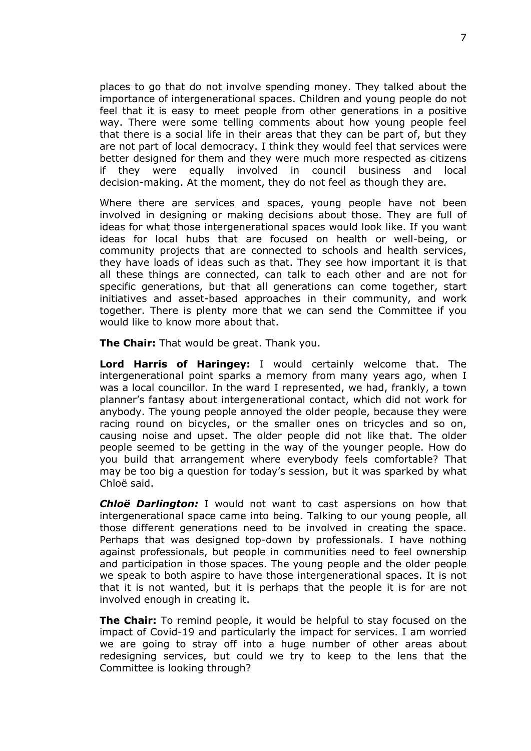places to go that do not involve spending money. They talked about the importance of intergenerational spaces. Children and young people do not feel that it is easy to meet people from other generations in a positive way. There were some telling comments about how young people feel that there is a social life in their areas that they can be part of, but they are not part of local democracy. I think they would feel that services were better designed for them and they were much more respected as citizens if they were equally involved in council business and local decision-making. At the moment, they do not feel as though they are.

Where there are services and spaces, young people have not been involved in designing or making decisions about those. They are full of ideas for what those intergenerational spaces would look like. If you want ideas for local hubs that are focused on health or well-being, or community projects that are connected to schools and health services, they have loads of ideas such as that. They see how important it is that all these things are connected, can talk to each other and are not for specific generations, but that all generations can come together, start initiatives and asset-based approaches in their community, and work together. There is plenty more that we can send the Committee if you would like to know more about that.

**The Chair:** That would be great. Thank you.

**Lord Harris of Haringey:** I would certainly welcome that. The intergenerational point sparks a memory from many years ago, when I was a local councillor. In the ward I represented, we had, frankly, a town planner's fantasy about intergenerational contact, which did not work for anybody. The young people annoyed the older people, because they were racing round on bicycles, or the smaller ones on tricycles and so on, causing noise and upset. The older people did not like that. The older people seemed to be getting in the way of the younger people. How do you build that arrangement where everybody feels comfortable? That may be too big a question for today's session, but it was sparked by what Chloë said.

*Chloë Darlington:* I would not want to cast aspersions on how that intergenerational space came into being. Talking to our young people, all those different generations need to be involved in creating the space. Perhaps that was designed top-down by professionals. I have nothing against professionals, but people in communities need to feel ownership and participation in those spaces. The young people and the older people we speak to both aspire to have those intergenerational spaces. It is not that it is not wanted, but it is perhaps that the people it is for are not involved enough in creating it.

**The Chair:** To remind people, it would be helpful to stay focused on the impact of Covid-19 and particularly the impact for services. I am worried we are going to stray off into a huge number of other areas about redesigning services, but could we try to keep to the lens that the Committee is looking through?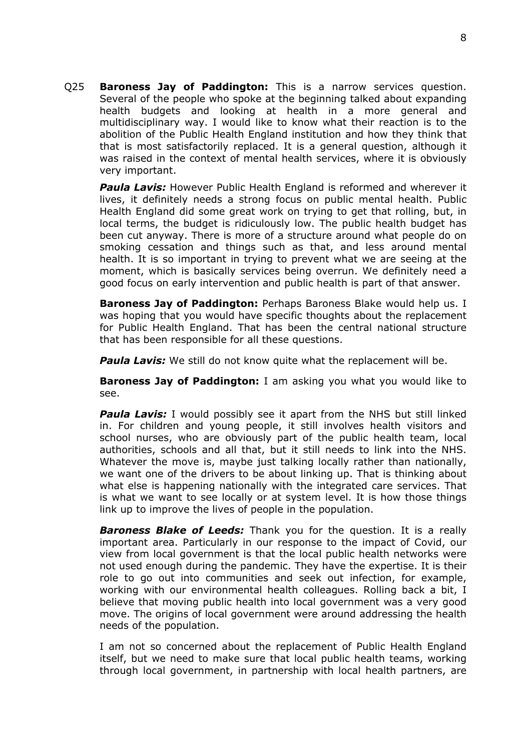Q25 **Baroness Jay of Paddington:** This is a narrow services question. Several of the people who spoke at the beginning talked about expanding health budgets and looking at health in a more general and multidisciplinary way. I would like to know what their reaction is to the abolition of the Public Health England institution and how they think that that is most satisfactorily replaced. It is a general question, although it was raised in the context of mental health services, where it is obviously very important.

**Paula Lavis:** However Public Health England is reformed and wherever it lives, it definitely needs a strong focus on public mental health. Public Health England did some great work on trying to get that rolling, but, in local terms, the budget is ridiculously low. The public health budget has been cut anyway. There is more of a structure around what people do on smoking cessation and things such as that, and less around mental health. It is so important in trying to prevent what we are seeing at the moment, which is basically services being overrun. We definitely need a good focus on early intervention and public health is part of that answer.

**Baroness Jay of Paddington:** Perhaps Baroness Blake would help us. I was hoping that you would have specific thoughts about the replacement for Public Health England. That has been the central national structure that has been responsible for all these questions.

**Paula Lavis:** We still do not know quite what the replacement will be.

**Baroness Jay of Paddington:** I am asking you what you would like to see.

*Paula Lavis:* I would possibly see it apart from the NHS but still linked in. For children and young people, it still involves health visitors and school nurses, who are obviously part of the public health team, local authorities, schools and all that, but it still needs to link into the NHS. Whatever the move is, maybe just talking locally rather than nationally, we want one of the drivers to be about linking up. That is thinking about what else is happening nationally with the integrated care services. That is what we want to see locally or at system level. It is how those things link up to improve the lives of people in the population.

*Baroness Blake of Leeds:* Thank you for the question. It is a really important area. Particularly in our response to the impact of Covid, our view from local government is that the local public health networks were not used enough during the pandemic. They have the expertise. It is their role to go out into communities and seek out infection, for example, working with our environmental health colleagues. Rolling back a bit, I believe that moving public health into local government was a very good move. The origins of local government were around addressing the health needs of the population.

I am not so concerned about the replacement of Public Health England itself, but we need to make sure that local public health teams, working through local government, in partnership with local health partners, are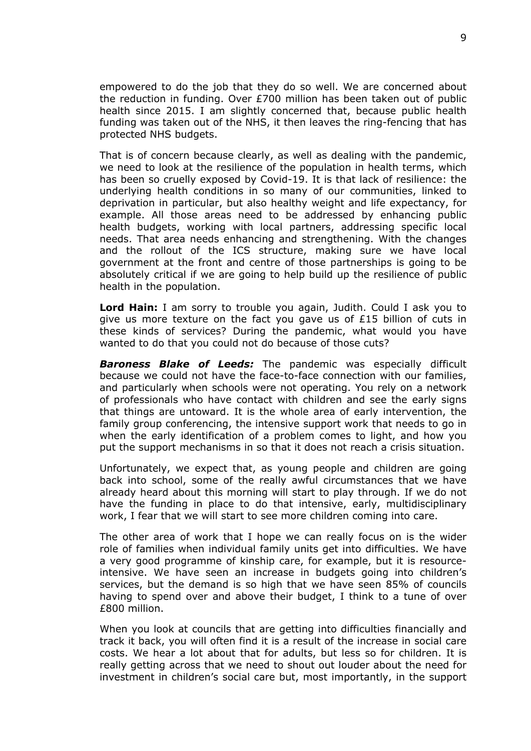empowered to do the job that they do so well. We are concerned about the reduction in funding. Over £700 million has been taken out of public health since 2015. I am slightly concerned that, because public health funding was taken out of the NHS, it then leaves the ring-fencing that has protected NHS budgets.

That is of concern because clearly, as well as dealing with the pandemic, we need to look at the resilience of the population in health terms, which has been so cruelly exposed by Covid-19. It is that lack of resilience: the underlying health conditions in so many of our communities, linked to deprivation in particular, but also healthy weight and life expectancy, for example. All those areas need to be addressed by enhancing public health budgets, working with local partners, addressing specific local needs. That area needs enhancing and strengthening. With the changes and the rollout of the ICS structure, making sure we have local government at the front and centre of those partnerships is going to be absolutely critical if we are going to help build up the resilience of public health in the population.

**Lord Hain:** I am sorry to trouble you again, Judith. Could I ask you to give us more texture on the fact you gave us of £15 billion of cuts in these kinds of services? During the pandemic, what would you have wanted to do that you could not do because of those cuts?

*Baroness Blake of Leeds:* The pandemic was especially difficult because we could not have the face-to-face connection with our families, and particularly when schools were not operating. You rely on a network of professionals who have contact with children and see the early signs that things are untoward. It is the whole area of early intervention, the family group conferencing, the intensive support work that needs to go in when the early identification of a problem comes to light, and how you put the support mechanisms in so that it does not reach a crisis situation.

Unfortunately, we expect that, as young people and children are going back into school, some of the really awful circumstances that we have already heard about this morning will start to play through. If we do not have the funding in place to do that intensive, early, multidisciplinary work, I fear that we will start to see more children coming into care.

The other area of work that I hope we can really focus on is the wider role of families when individual family units get into difficulties. We have a very good programme of kinship care, for example, but it is resourceintensive. We have seen an increase in budgets going into children's services, but the demand is so high that we have seen 85% of councils having to spend over and above their budget, I think to a tune of over £800 million.

When you look at councils that are getting into difficulties financially and track it back, you will often find it is a result of the increase in social care costs. We hear a lot about that for adults, but less so for children. It is really getting across that we need to shout out louder about the need for investment in children's social care but, most importantly, in the support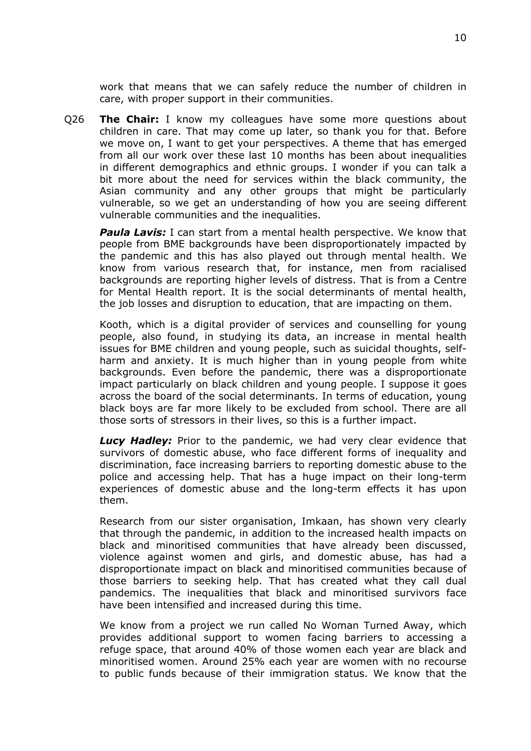work that means that we can safely reduce the number of children in care, with proper support in their communities.

Q26 **The Chair:** I know my colleagues have some more questions about children in care. That may come up later, so thank you for that. Before we move on, I want to get your perspectives. A theme that has emerged from all our work over these last 10 months has been about inequalities in different demographics and ethnic groups. I wonder if you can talk a bit more about the need for services within the black community, the Asian community and any other groups that might be particularly vulnerable, so we get an understanding of how you are seeing different vulnerable communities and the inequalities.

*Paula Lavis:* I can start from a mental health perspective. We know that people from BME backgrounds have been disproportionately impacted by the pandemic and this has also played out through mental health. We know from various research that, for instance, men from racialised backgrounds are reporting higher levels of distress. That is from a Centre for Mental Health report. It is the social determinants of mental health, the job losses and disruption to education, that are impacting on them.

Kooth, which is a digital provider of services and counselling for young people, also found, in studying its data, an increase in mental health issues for BME children and young people, such as suicidal thoughts, selfharm and anxiety. It is much higher than in young people from white backgrounds. Even before the pandemic, there was a disproportionate impact particularly on black children and young people. I suppose it goes across the board of the social determinants. In terms of education, young black boys are far more likely to be excluded from school. There are all those sorts of stressors in their lives, so this is a further impact.

**Lucy Hadley:** Prior to the pandemic, we had very clear evidence that survivors of domestic abuse, who face different forms of inequality and discrimination, face increasing barriers to reporting domestic abuse to the police and accessing help. That has a huge impact on their long-term experiences of domestic abuse and the long-term effects it has upon them.

Research from our sister organisation, Imkaan, has shown very clearly that through the pandemic, in addition to the increased health impacts on black and minoritised communities that have already been discussed, violence against women and girls, and domestic abuse, has had a disproportionate impact on black and minoritised communities because of those barriers to seeking help. That has created what they call dual pandemics. The inequalities that black and minoritised survivors face have been intensified and increased during this time.

We know from a project we run called No Woman Turned Away, which provides additional support to women facing barriers to accessing a refuge space, that around 40% of those women each year are black and minoritised women. Around 25% each year are women with no recourse to public funds because of their immigration status. We know that the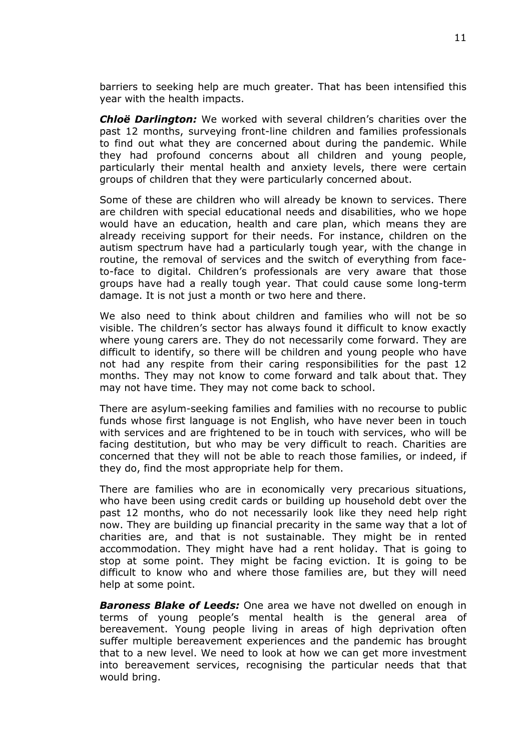barriers to seeking help are much greater. That has been intensified this year with the health impacts.

*Chloë Darlington:* We worked with several children's charities over the past 12 months, surveying front-line children and families professionals to find out what they are concerned about during the pandemic. While they had profound concerns about all children and young people, particularly their mental health and anxiety levels, there were certain groups of children that they were particularly concerned about.

Some of these are children who will already be known to services. There are children with special educational needs and disabilities, who we hope would have an education, health and care plan, which means they are already receiving support for their needs. For instance, children on the autism spectrum have had a particularly tough year, with the change in routine, the removal of services and the switch of everything from faceto-face to digital. Children's professionals are very aware that those groups have had a really tough year. That could cause some long-term damage. It is not just a month or two here and there.

We also need to think about children and families who will not be so visible. The children's sector has always found it difficult to know exactly where young carers are. They do not necessarily come forward. They are difficult to identify, so there will be children and young people who have not had any respite from their caring responsibilities for the past 12 months. They may not know to come forward and talk about that. They may not have time. They may not come back to school.

There are asylum-seeking families and families with no recourse to public funds whose first language is not English, who have never been in touch with services and are frightened to be in touch with services, who will be facing destitution, but who may be very difficult to reach. Charities are concerned that they will not be able to reach those families, or indeed, if they do, find the most appropriate help for them.

There are families who are in economically very precarious situations, who have been using credit cards or building up household debt over the past 12 months, who do not necessarily look like they need help right now. They are building up financial precarity in the same way that a lot of charities are, and that is not sustainable. They might be in rented accommodation. They might have had a rent holiday. That is going to stop at some point. They might be facing eviction. It is going to be difficult to know who and where those families are, but they will need help at some point.

*Baroness Blake of Leeds:* One area we have not dwelled on enough in terms of young people's mental health is the general area of bereavement. Young people living in areas of high deprivation often suffer multiple bereavement experiences and the pandemic has brought that to a new level. We need to look at how we can get more investment into bereavement services, recognising the particular needs that that would bring.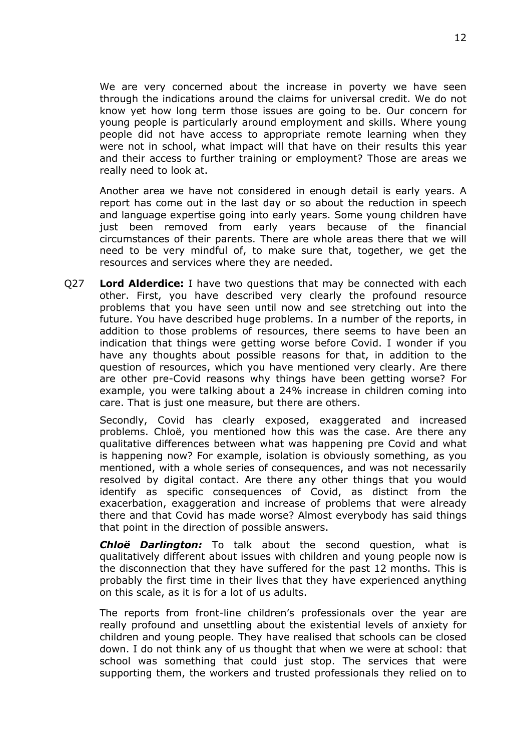We are very concerned about the increase in poverty we have seen through the indications around the claims for universal credit. We do not know yet how long term those issues are going to be. Our concern for young people is particularly around employment and skills. Where young people did not have access to appropriate remote learning when they were not in school, what impact will that have on their results this year and their access to further training or employment? Those are areas we really need to look at.

Another area we have not considered in enough detail is early years. A report has come out in the last day or so about the reduction in speech and language expertise going into early years. Some young children have just been removed from early years because of the financial circumstances of their parents. There are whole areas there that we will need to be very mindful of, to make sure that, together, we get the resources and services where they are needed.

Q27 **Lord Alderdice:** I have two questions that may be connected with each other. First, you have described very clearly the profound resource problems that you have seen until now and see stretching out into the future. You have described huge problems. In a number of the reports, in addition to those problems of resources, there seems to have been an indication that things were getting worse before Covid. I wonder if you have any thoughts about possible reasons for that, in addition to the question of resources, which you have mentioned very clearly. Are there are other pre-Covid reasons why things have been getting worse? For example, you were talking about a 24% increase in children coming into care. That is just one measure, but there are others.

Secondly, Covid has clearly exposed, exaggerated and increased problems. Chloë, you mentioned how this was the case. Are there any qualitative differences between what was happening pre Covid and what is happening now? For example, isolation is obviously something, as you mentioned, with a whole series of consequences, and was not necessarily resolved by digital contact. Are there any other things that you would identify as specific consequences of Covid, as distinct from the exacerbation, exaggeration and increase of problems that were already there and that Covid has made worse? Almost everybody has said things that point in the direction of possible answers.

*Chloë Darlington:* To talk about the second question, what is qualitatively different about issues with children and young people now is the disconnection that they have suffered for the past 12 months. This is probably the first time in their lives that they have experienced anything on this scale, as it is for a lot of us adults.

The reports from front-line children's professionals over the year are really profound and unsettling about the existential levels of anxiety for children and young people. They have realised that schools can be closed down. I do not think any of us thought that when we were at school: that school was something that could just stop. The services that were supporting them, the workers and trusted professionals they relied on to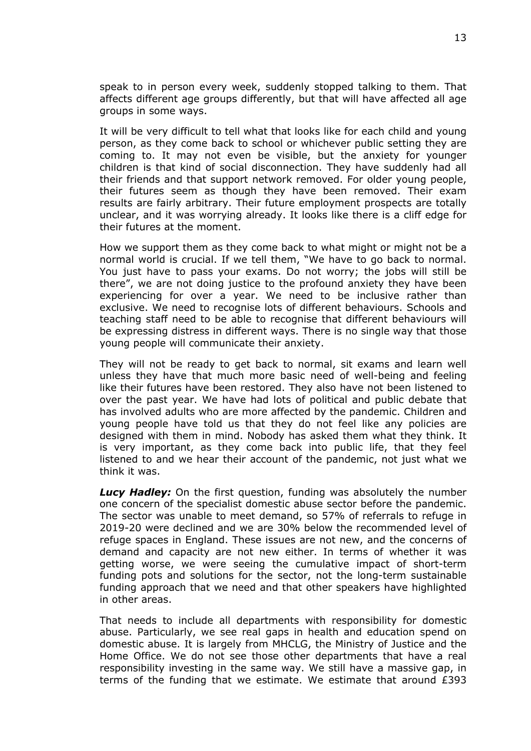speak to in person every week, suddenly stopped talking to them. That affects different age groups differently, but that will have affected all age groups in some ways.

It will be very difficult to tell what that looks like for each child and young person, as they come back to school or whichever public setting they are coming to. It may not even be visible, but the anxiety for younger children is that kind of social disconnection. They have suddenly had all their friends and that support network removed. For older young people, their futures seem as though they have been removed. Their exam results are fairly arbitrary. Their future employment prospects are totally unclear, and it was worrying already. It looks like there is a cliff edge for their futures at the moment.

How we support them as they come back to what might or might not be a normal world is crucial. If we tell them, "We have to go back to normal. You just have to pass your exams. Do not worry; the jobs will still be there", we are not doing justice to the profound anxiety they have been experiencing for over a year. We need to be inclusive rather than exclusive. We need to recognise lots of different behaviours. Schools and teaching staff need to be able to recognise that different behaviours will be expressing distress in different ways. There is no single way that those young people will communicate their anxiety.

They will not be ready to get back to normal, sit exams and learn well unless they have that much more basic need of well-being and feeling like their futures have been restored. They also have not been listened to over the past year. We have had lots of political and public debate that has involved adults who are more affected by the pandemic. Children and young people have told us that they do not feel like any policies are designed with them in mind. Nobody has asked them what they think. It is very important, as they come back into public life, that they feel listened to and we hear their account of the pandemic, not just what we think it was.

*Lucy Hadley:* On the first question, funding was absolutely the number one concern of the specialist domestic abuse sector before the pandemic. The sector was unable to meet demand, so 57% of referrals to refuge in 2019-20 were declined and we are 30% below the recommended level of refuge spaces in England. These issues are not new, and the concerns of demand and capacity are not new either. In terms of whether it was getting worse, we were seeing the cumulative impact of short-term funding pots and solutions for the sector, not the long-term sustainable funding approach that we need and that other speakers have highlighted in other areas.

That needs to include all departments with responsibility for domestic abuse. Particularly, we see real gaps in health and education spend on domestic abuse. It is largely from MHCLG, the Ministry of Justice and the Home Office. We do not see those other departments that have a real responsibility investing in the same way. We still have a massive gap, in terms of the funding that we estimate. We estimate that around £393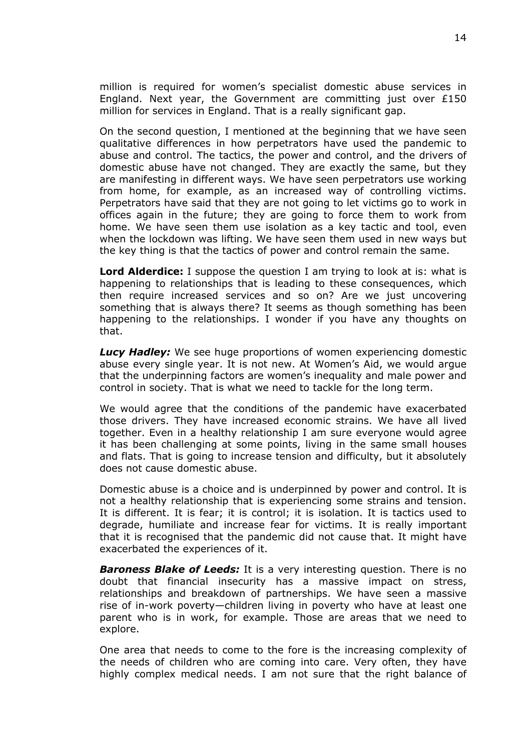million is required for women's specialist domestic abuse services in England. Next year, the Government are committing just over  $£150$ million for services in England. That is a really significant gap.

On the second question, I mentioned at the beginning that we have seen qualitative differences in how perpetrators have used the pandemic to abuse and control. The tactics, the power and control, and the drivers of domestic abuse have not changed. They are exactly the same, but they are manifesting in different ways. We have seen perpetrators use working from home, for example, as an increased way of controlling victims. Perpetrators have said that they are not going to let victims go to work in offices again in the future; they are going to force them to work from home. We have seen them use isolation as a key tactic and tool, even when the lockdown was lifting. We have seen them used in new ways but the key thing is that the tactics of power and control remain the same.

**Lord Alderdice:** I suppose the question I am trying to look at is: what is happening to relationships that is leading to these consequences, which then require increased services and so on? Are we just uncovering something that is always there? It seems as though something has been happening to the relationships. I wonder if you have any thoughts on that.

*Lucy Hadley:* We see huge proportions of women experiencing domestic abuse every single year. It is not new. At Women's Aid, we would argue that the underpinning factors are women's inequality and male power and control in society. That is what we need to tackle for the long term.

We would agree that the conditions of the pandemic have exacerbated those drivers. They have increased economic strains. We have all lived together. Even in a healthy relationship I am sure everyone would agree it has been challenging at some points, living in the same small houses and flats. That is going to increase tension and difficulty, but it absolutely does not cause domestic abuse.

Domestic abuse is a choice and is underpinned by power and control. It is not a healthy relationship that is experiencing some strains and tension. It is different. It is fear; it is control; it is isolation. It is tactics used to degrade, humiliate and increase fear for victims. It is really important that it is recognised that the pandemic did not cause that. It might have exacerbated the experiences of it.

*Baroness Blake of Leeds:* It is a very interesting question. There is no doubt that financial insecurity has a massive impact on stress, relationships and breakdown of partnerships. We have seen a massive rise of in-work poverty—children living in poverty who have at least one parent who is in work, for example. Those are areas that we need to explore.

One area that needs to come to the fore is the increasing complexity of the needs of children who are coming into care. Very often, they have highly complex medical needs. I am not sure that the right balance of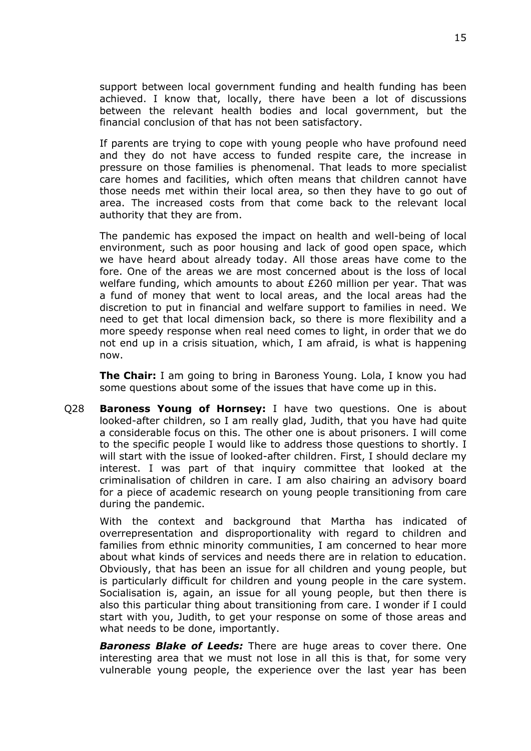support between local government funding and health funding has been achieved. I know that, locally, there have been a lot of discussions between the relevant health bodies and local government, but the financial conclusion of that has not been satisfactory.

If parents are trying to cope with young people who have profound need and they do not have access to funded respite care, the increase in pressure on those families is phenomenal. That leads to more specialist care homes and facilities, which often means that children cannot have those needs met within their local area, so then they have to go out of area. The increased costs from that come back to the relevant local authority that they are from.

The pandemic has exposed the impact on health and well-being of local environment, such as poor housing and lack of good open space, which we have heard about already today. All those areas have come to the fore. One of the areas we are most concerned about is the loss of local welfare funding, which amounts to about £260 million per year. That was a fund of money that went to local areas, and the local areas had the discretion to put in financial and welfare support to families in need. We need to get that local dimension back, so there is more flexibility and a more speedy response when real need comes to light, in order that we do not end up in a crisis situation, which, I am afraid, is what is happening now.

**The Chair:** I am going to bring in Baroness Young. Lola, I know you had some questions about some of the issues that have come up in this.

Q28 **Baroness Young of Hornsey:** I have two questions. One is about looked-after children, so I am really glad, Judith, that you have had quite a considerable focus on this. The other one is about prisoners. I will come to the specific people I would like to address those questions to shortly. I will start with the issue of looked-after children. First, I should declare my interest. I was part of that inquiry committee that looked at the criminalisation of children in care. I am also chairing an advisory board for a piece of academic research on young people transitioning from care during the pandemic.

With the context and background that Martha has indicated of overrepresentation and disproportionality with regard to children and families from ethnic minority communities, I am concerned to hear more about what kinds of services and needs there are in relation to education. Obviously, that has been an issue for all children and young people, but is particularly difficult for children and young people in the care system. Socialisation is, again, an issue for all young people, but then there is also this particular thing about transitioning from care. I wonder if I could start with you, Judith, to get your response on some of those areas and what needs to be done, importantly.

*Baroness Blake of Leeds:* There are huge areas to cover there. One interesting area that we must not lose in all this is that, for some very vulnerable young people, the experience over the last year has been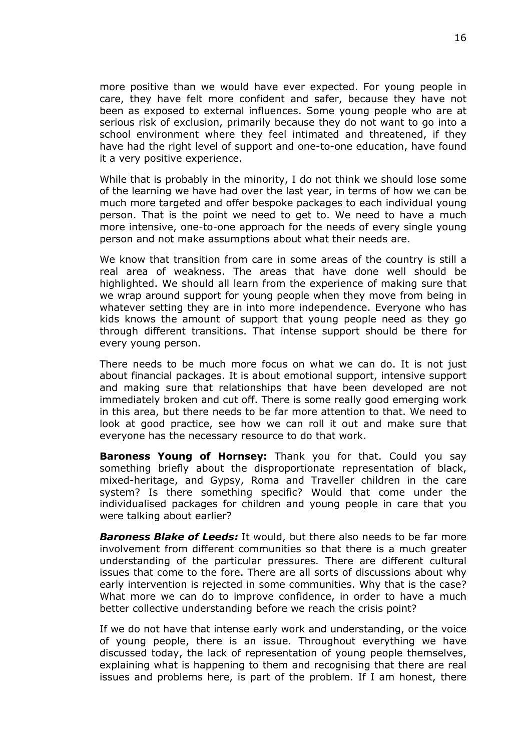more positive than we would have ever expected. For young people in care, they have felt more confident and safer, because they have not been as exposed to external influences. Some young people who are at serious risk of exclusion, primarily because they do not want to go into a school environment where they feel intimated and threatened, if they have had the right level of support and one-to-one education, have found it a very positive experience.

While that is probably in the minority, I do not think we should lose some of the learning we have had over the last year, in terms of how we can be much more targeted and offer bespoke packages to each individual young person. That is the point we need to get to. We need to have a much more intensive, one-to-one approach for the needs of every single young person and not make assumptions about what their needs are.

We know that transition from care in some areas of the country is still a real area of weakness. The areas that have done well should be highlighted. We should all learn from the experience of making sure that we wrap around support for young people when they move from being in whatever setting they are in into more independence. Everyone who has kids knows the amount of support that young people need as they go through different transitions. That intense support should be there for every young person.

There needs to be much more focus on what we can do. It is not just about financial packages. It is about emotional support, intensive support and making sure that relationships that have been developed are not immediately broken and cut off. There is some really good emerging work in this area, but there needs to be far more attention to that. We need to look at good practice, see how we can roll it out and make sure that everyone has the necessary resource to do that work.

**Baroness Young of Hornsey:** Thank you for that. Could you say something briefly about the disproportionate representation of black, mixed-heritage, and Gypsy, Roma and Traveller children in the care system? Is there something specific? Would that come under the individualised packages for children and young people in care that you were talking about earlier?

*Baroness Blake of Leeds:* It would, but there also needs to be far more involvement from different communities so that there is a much greater understanding of the particular pressures. There are different cultural issues that come to the fore. There are all sorts of discussions about why early intervention is rejected in some communities. Why that is the case? What more we can do to improve confidence, in order to have a much better collective understanding before we reach the crisis point?

If we do not have that intense early work and understanding, or the voice of young people, there is an issue. Throughout everything we have discussed today, the lack of representation of young people themselves, explaining what is happening to them and recognising that there are real issues and problems here, is part of the problem. If I am honest, there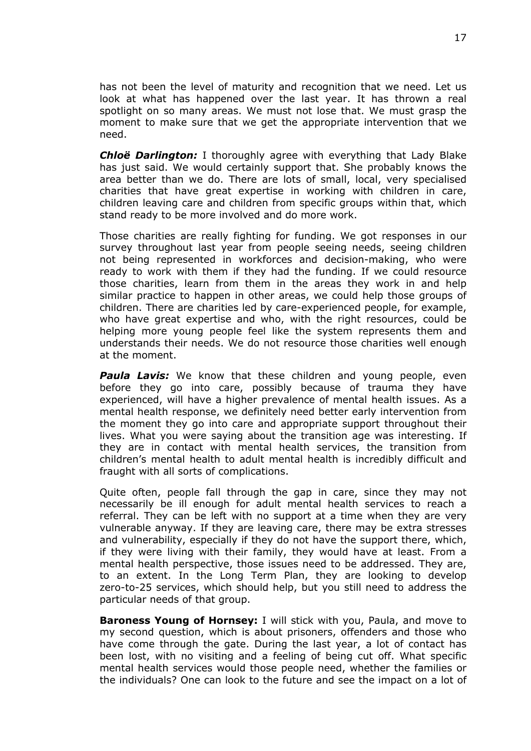has not been the level of maturity and recognition that we need. Let us look at what has happened over the last year. It has thrown a real spotlight on so many areas. We must not lose that. We must grasp the moment to make sure that we get the appropriate intervention that we need.

*Chloë Darlington:* I thoroughly agree with everything that Lady Blake has just said. We would certainly support that. She probably knows the area better than we do. There are lots of small, local, very specialised charities that have great expertise in working with children in care, children leaving care and children from specific groups within that, which stand ready to be more involved and do more work.

Those charities are really fighting for funding. We got responses in our survey throughout last year from people seeing needs, seeing children not being represented in workforces and decision-making, who were ready to work with them if they had the funding. If we could resource those charities, learn from them in the areas they work in and help similar practice to happen in other areas, we could help those groups of children. There are charities led by care-experienced people, for example, who have great expertise and who, with the right resources, could be helping more young people feel like the system represents them and understands their needs. We do not resource those charities well enough at the moment.

**Paula Lavis:** We know that these children and young people, even before they go into care, possibly because of trauma they have experienced, will have a higher prevalence of mental health issues. As a mental health response, we definitely need better early intervention from the moment they go into care and appropriate support throughout their lives. What you were saying about the transition age was interesting. If they are in contact with mental health services, the transition from children's mental health to adult mental health is incredibly difficult and fraught with all sorts of complications.

Quite often, people fall through the gap in care, since they may not necessarily be ill enough for adult mental health services to reach a referral. They can be left with no support at a time when they are very vulnerable anyway. If they are leaving care, there may be extra stresses and vulnerability, especially if they do not have the support there, which, if they were living with their family, they would have at least. From a mental health perspective, those issues need to be addressed. They are, to an extent. In the Long Term Plan, they are looking to develop zero-to-25 services, which should help, but you still need to address the particular needs of that group.

**Baroness Young of Hornsey:** I will stick with you, Paula, and move to my second question, which is about prisoners, offenders and those who have come through the gate. During the last year, a lot of contact has been lost, with no visiting and a feeling of being cut off. What specific mental health services would those people need, whether the families or the individuals? One can look to the future and see the impact on a lot of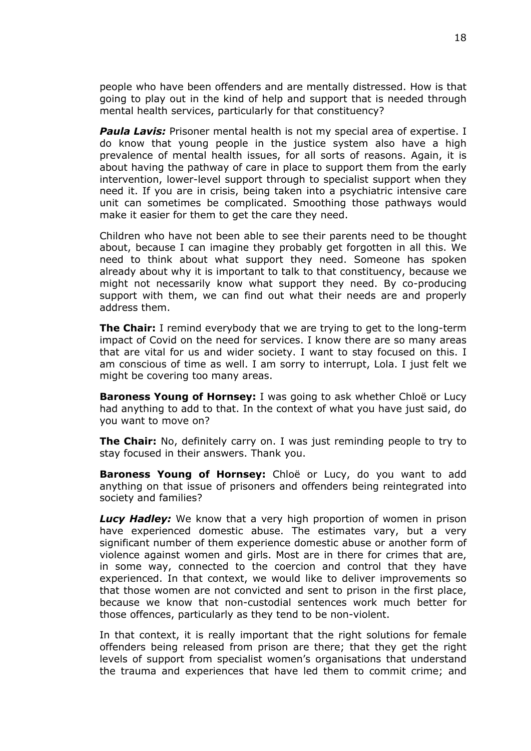people who have been offenders and are mentally distressed. How is that going to play out in the kind of help and support that is needed through mental health services, particularly for that constituency?

**Paula Lavis:** Prisoner mental health is not my special area of expertise. I do know that young people in the justice system also have a high prevalence of mental health issues, for all sorts of reasons. Again, it is about having the pathway of care in place to support them from the early intervention, lower-level support through to specialist support when they need it. If you are in crisis, being taken into a psychiatric intensive care unit can sometimes be complicated. Smoothing those pathways would make it easier for them to get the care they need.

Children who have not been able to see their parents need to be thought about, because I can imagine they probably get forgotten in all this. We need to think about what support they need. Someone has spoken already about why it is important to talk to that constituency, because we might not necessarily know what support they need. By co-producing support with them, we can find out what their needs are and properly address them.

**The Chair:** I remind everybody that we are trying to get to the long-term impact of Covid on the need for services. I know there are so many areas that are vital for us and wider society. I want to stay focused on this. I am conscious of time as well. I am sorry to interrupt, Lola. I just felt we might be covering too many areas.

**Baroness Young of Hornsey:** I was going to ask whether Chloë or Lucy had anything to add to that. In the context of what you have just said, do you want to move on?

**The Chair:** No, definitely carry on. I was just reminding people to try to stay focused in their answers. Thank you.

**Baroness Young of Hornsey:** Chloë or Lucy, do you want to add anything on that issue of prisoners and offenders being reintegrated into society and families?

*Lucy Hadley:* We know that a very high proportion of women in prison have experienced domestic abuse. The estimates vary, but a very significant number of them experience domestic abuse or another form of violence against women and girls. Most are in there for crimes that are, in some way, connected to the coercion and control that they have experienced. In that context, we would like to deliver improvements so that those women are not convicted and sent to prison in the first place, because we know that non-custodial sentences work much better for those offences, particularly as they tend to be non-violent.

In that context, it is really important that the right solutions for female offenders being released from prison are there; that they get the right levels of support from specialist women's organisations that understand the trauma and experiences that have led them to commit crime; and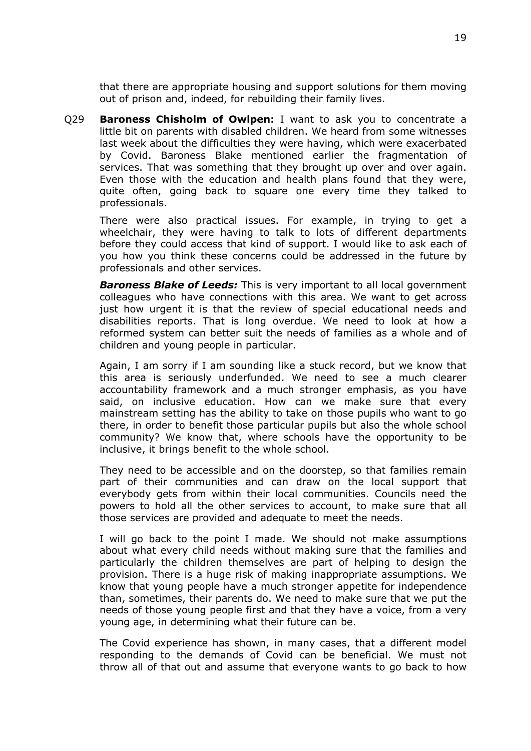that there are appropriate housing and support solutions for them moving out of prison and, indeed, for rebuilding their family lives.

Q29 **Baroness Chisholm of Owlpen:** I want to ask you to concentrate a little bit on parents with disabled children. We heard from some witnesses last week about the difficulties they were having, which were exacerbated by Covid. Baroness Blake mentioned earlier the fragmentation of services. That was something that they brought up over and over again. Even those with the education and health plans found that they were, quite often, going back to square one every time they talked to professionals.

There were also practical issues. For example, in trying to get a wheelchair, they were having to talk to lots of different departments before they could access that kind of support. I would like to ask each of you how you think these concerns could be addressed in the future by professionals and other services.

*Baroness Blake of Leeds:* This is very important to all local government colleagues who have connections with this area. We want to get across just how urgent it is that the review of special educational needs and disabilities reports. That is long overdue. We need to look at how a reformed system can better suit the needs of families as a whole and of children and young people in particular.

Again, I am sorry if I am sounding like a stuck record, but we know that this area is seriously underfunded. We need to see a much clearer accountability framework and a much stronger emphasis, as you have said, on inclusive education. How can we make sure that every mainstream setting has the ability to take on those pupils who want to go there, in order to benefit those particular pupils but also the whole school community? We know that, where schools have the opportunity to be inclusive, it brings benefit to the whole school.

They need to be accessible and on the doorstep, so that families remain part of their communities and can draw on the local support that everybody gets from within their local communities. Councils need the powers to hold all the other services to account, to make sure that all those services are provided and adequate to meet the needs.

I will go back to the point I made. We should not make assumptions about what every child needs without making sure that the families and particularly the children themselves are part of helping to design the provision. There is a huge risk of making inappropriate assumptions. We know that young people have a much stronger appetite for independence than, sometimes, their parents do. We need to make sure that we put the needs of those young people first and that they have a voice, from a very young age, in determining what their future can be.

The Covid experience has shown, in many cases, that a different model responding to the demands of Covid can be beneficial. We must not throw all of that out and assume that everyone wants to go back to how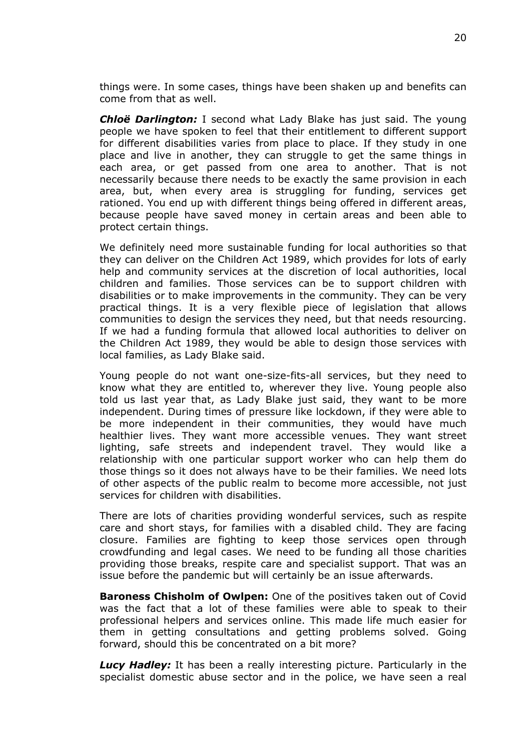things were. In some cases, things have been shaken up and benefits can come from that as well.

*Chloë Darlington:* I second what Lady Blake has just said. The young people we have spoken to feel that their entitlement to different support for different disabilities varies from place to place. If they study in one place and live in another, they can struggle to get the same things in each area, or get passed from one area to another. That is not necessarily because there needs to be exactly the same provision in each area, but, when every area is struggling for funding, services get rationed. You end up with different things being offered in different areas, because people have saved money in certain areas and been able to protect certain things.

We definitely need more sustainable funding for local authorities so that they can deliver on the Children Act 1989, which provides for lots of early help and community services at the discretion of local authorities, local children and families. Those services can be to support children with disabilities or to make improvements in the community. They can be very practical things. It is a very flexible piece of legislation that allows communities to design the services they need, but that needs resourcing. If we had a funding formula that allowed local authorities to deliver on the Children Act 1989, they would be able to design those services with local families, as Lady Blake said.

Young people do not want one-size-fits-all services, but they need to know what they are entitled to, wherever they live. Young people also told us last year that, as Lady Blake just said, they want to be more independent. During times of pressure like lockdown, if they were able to be more independent in their communities, they would have much healthier lives. They want more accessible venues. They want street lighting, safe streets and independent travel. They would like a relationship with one particular support worker who can help them do those things so it does not always have to be their families. We need lots of other aspects of the public realm to become more accessible, not just services for children with disabilities.

There are lots of charities providing wonderful services, such as respite care and short stays, for families with a disabled child. They are facing closure. Families are fighting to keep those services open through crowdfunding and legal cases. We need to be funding all those charities providing those breaks, respite care and specialist support. That was an issue before the pandemic but will certainly be an issue afterwards.

**Baroness Chisholm of Owlpen:** One of the positives taken out of Covid was the fact that a lot of these families were able to speak to their professional helpers and services online. This made life much easier for them in getting consultations and getting problems solved. Going forward, should this be concentrated on a bit more?

*Lucy Hadley:* It has been a really interesting picture. Particularly in the specialist domestic abuse sector and in the police, we have seen a real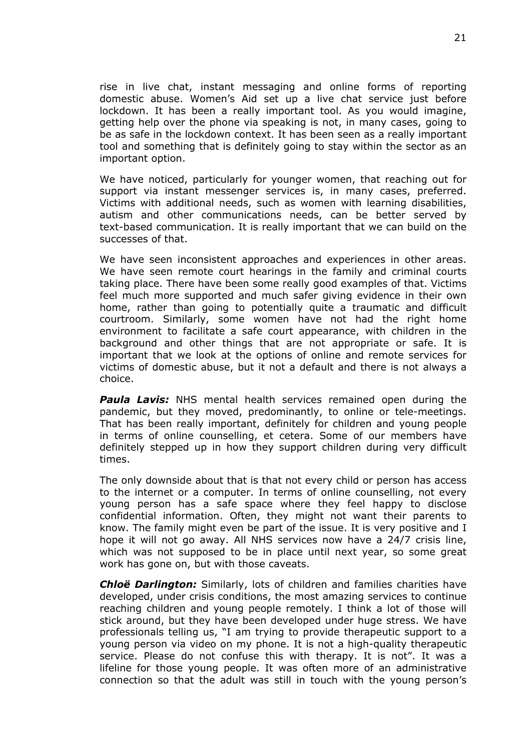rise in live chat, instant messaging and online forms of reporting domestic abuse. Women's Aid set up a live chat service just before lockdown. It has been a really important tool. As you would imagine, getting help over the phone via speaking is not, in many cases, going to be as safe in the lockdown context. It has been seen as a really important tool and something that is definitely going to stay within the sector as an important option.

We have noticed, particularly for younger women, that reaching out for support via instant messenger services is, in many cases, preferred. Victims with additional needs, such as women with learning disabilities, autism and other communications needs, can be better served by text-based communication. It is really important that we can build on the successes of that.

We have seen inconsistent approaches and experiences in other areas. We have seen remote court hearings in the family and criminal courts taking place. There have been some really good examples of that. Victims feel much more supported and much safer giving evidence in their own home, rather than going to potentially quite a traumatic and difficult courtroom. Similarly, some women have not had the right home environment to facilitate a safe court appearance, with children in the background and other things that are not appropriate or safe. It is important that we look at the options of online and remote services for victims of domestic abuse, but it not a default and there is not always a choice.

*Paula Lavis:* NHS mental health services remained open during the pandemic, but they moved, predominantly, to online or tele-meetings. That has been really important, definitely for children and young people in terms of online counselling, et cetera. Some of our members have definitely stepped up in how they support children during very difficult times.

The only downside about that is that not every child or person has access to the internet or a computer. In terms of online counselling, not every young person has a safe space where they feel happy to disclose confidential information. Often, they might not want their parents to know. The family might even be part of the issue. It is very positive and I hope it will not go away. All NHS services now have a 24/7 crisis line, which was not supposed to be in place until next year, so some great work has gone on, but with those caveats.

*Chloë Darlington:* Similarly, lots of children and families charities have developed, under crisis conditions, the most amazing services to continue reaching children and young people remotely. I think a lot of those will stick around, but they have been developed under huge stress. We have professionals telling us, "I am trying to provide therapeutic support to a young person via video on my phone. It is not a high-quality therapeutic service. Please do not confuse this with therapy. It is not". It was a lifeline for those young people. It was often more of an administrative connection so that the adult was still in touch with the young person's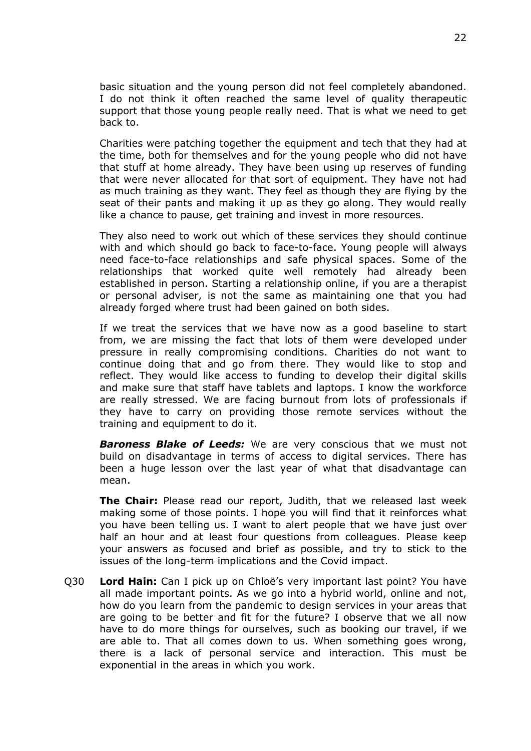basic situation and the young person did not feel completely abandoned. I do not think it often reached the same level of quality therapeutic support that those young people really need. That is what we need to get back to.

Charities were patching together the equipment and tech that they had at the time, both for themselves and for the young people who did not have that stuff at home already. They have been using up reserves of funding that were never allocated for that sort of equipment. They have not had as much training as they want. They feel as though they are flying by the seat of their pants and making it up as they go along. They would really like a chance to pause, get training and invest in more resources.

They also need to work out which of these services they should continue with and which should go back to face-to-face. Young people will always need face-to-face relationships and safe physical spaces. Some of the relationships that worked quite well remotely had already been established in person. Starting a relationship online, if you are a therapist or personal adviser, is not the same as maintaining one that you had already forged where trust had been gained on both sides.

If we treat the services that we have now as a good baseline to start from, we are missing the fact that lots of them were developed under pressure in really compromising conditions. Charities do not want to continue doing that and go from there. They would like to stop and reflect. They would like access to funding to develop their digital skills and make sure that staff have tablets and laptops. I know the workforce are really stressed. We are facing burnout from lots of professionals if they have to carry on providing those remote services without the training and equipment to do it.

*Baroness Blake of Leeds:* We are very conscious that we must not build on disadvantage in terms of access to digital services. There has been a huge lesson over the last year of what that disadvantage can mean.

**The Chair:** Please read our report, Judith, that we released last week making some of those points. I hope you will find that it reinforces what you have been telling us. I want to alert people that we have just over half an hour and at least four questions from colleagues. Please keep your answers as focused and brief as possible, and try to stick to the issues of the long-term implications and the Covid impact.

Q30 **Lord Hain:** Can I pick up on Chloë's very important last point? You have all made important points. As we go into a hybrid world, online and not, how do you learn from the pandemic to design services in your areas that are going to be better and fit for the future? I observe that we all now have to do more things for ourselves, such as booking our travel, if we are able to. That all comes down to us. When something goes wrong, there is a lack of personal service and interaction. This must be exponential in the areas in which you work.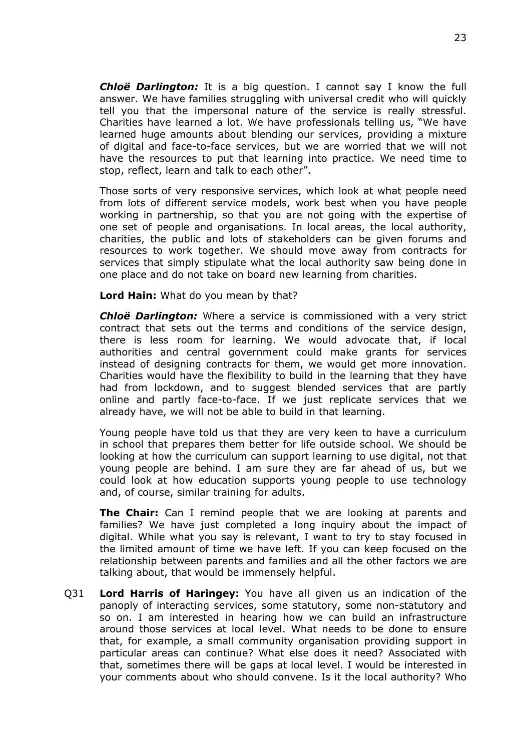*Chloë Darlington:* It is a big question. I cannot say I know the full answer. We have families struggling with universal credit who will quickly tell you that the impersonal nature of the service is really stressful. Charities have learned a lot. We have professionals telling us, "We have learned huge amounts about blending our services, providing a mixture of digital and face-to-face services, but we are worried that we will not have the resources to put that learning into practice. We need time to stop, reflect, learn and talk to each other".

Those sorts of very responsive services, which look at what people need from lots of different service models, work best when you have people working in partnership, so that you are not going with the expertise of one set of people and organisations. In local areas, the local authority, charities, the public and lots of stakeholders can be given forums and resources to work together. We should move away from contracts for services that simply stipulate what the local authority saw being done in one place and do not take on board new learning from charities.

**Lord Hain:** What do you mean by that?

*Chloë Darlington:* Where a service is commissioned with a very strict contract that sets out the terms and conditions of the service design, there is less room for learning. We would advocate that, if local authorities and central government could make grants for services instead of designing contracts for them, we would get more innovation. Charities would have the flexibility to build in the learning that they have had from lockdown, and to suggest blended services that are partly online and partly face-to-face. If we just replicate services that we already have, we will not be able to build in that learning.

Young people have told us that they are very keen to have a curriculum in school that prepares them better for life outside school. We should be looking at how the curriculum can support learning to use digital, not that young people are behind. I am sure they are far ahead of us, but we could look at how education supports young people to use technology and, of course, similar training for adults.

**The Chair:** Can I remind people that we are looking at parents and families? We have just completed a long inquiry about the impact of digital. While what you say is relevant, I want to try to stay focused in the limited amount of time we have left. If you can keep focused on the relationship between parents and families and all the other factors we are talking about, that would be immensely helpful.

Q31 **Lord Harris of Haringey:** You have all given us an indication of the panoply of interacting services, some statutory, some non-statutory and so on. I am interested in hearing how we can build an infrastructure around those services at local level. What needs to be done to ensure that, for example, a small community organisation providing support in particular areas can continue? What else does it need? Associated with that, sometimes there will be gaps at local level. I would be interested in your comments about who should convene. Is it the local authority? Who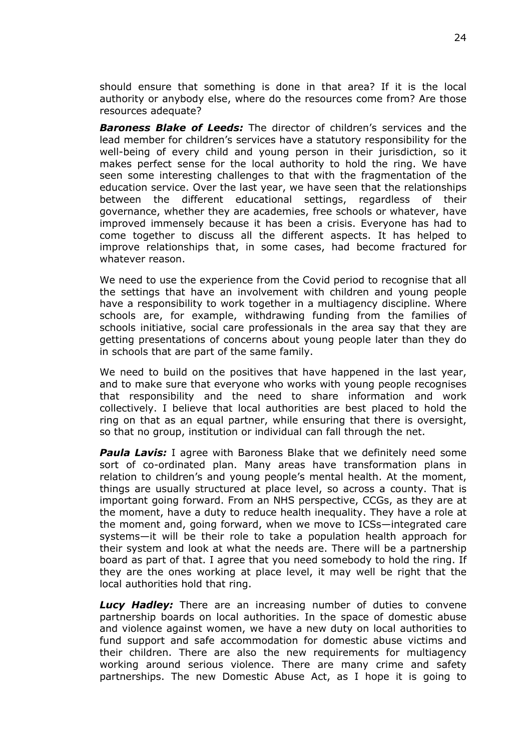should ensure that something is done in that area? If it is the local authority or anybody else, where do the resources come from? Are those resources adequate?

*Baroness Blake of Leeds:* The director of children's services and the lead member for children's services have a statutory responsibility for the well-being of every child and young person in their jurisdiction, so it makes perfect sense for the local authority to hold the ring. We have seen some interesting challenges to that with the fragmentation of the education service. Over the last year, we have seen that the relationships between the different educational settings, regardless of their governance, whether they are academies, free schools or whatever, have improved immensely because it has been a crisis. Everyone has had to come together to discuss all the different aspects. It has helped to improve relationships that, in some cases, had become fractured for whatever reason.

We need to use the experience from the Covid period to recognise that all the settings that have an involvement with children and young people have a responsibility to work together in a multiagency discipline. Where schools are, for example, withdrawing funding from the families of schools initiative, social care professionals in the area say that they are getting presentations of concerns about young people later than they do in schools that are part of the same family.

We need to build on the positives that have happened in the last year, and to make sure that everyone who works with young people recognises that responsibility and the need to share information and work collectively. I believe that local authorities are best placed to hold the ring on that as an equal partner, while ensuring that there is oversight, so that no group, institution or individual can fall through the net.

*Paula Lavis:* I agree with Baroness Blake that we definitely need some sort of co-ordinated plan. Many areas have transformation plans in relation to children's and young people's mental health. At the moment, things are usually structured at place level, so across a county. That is important going forward. From an NHS perspective, CCGs, as they are at the moment, have a duty to reduce health inequality. They have a role at the moment and, going forward, when we move to ICSs—integrated care systems—it will be their role to take a population health approach for their system and look at what the needs are. There will be a partnership board as part of that. I agree that you need somebody to hold the ring. If they are the ones working at place level, it may well be right that the local authorities hold that ring.

*Lucy Hadley:* There are an increasing number of duties to convene partnership boards on local authorities. In the space of domestic abuse and violence against women, we have a new duty on local authorities to fund support and safe accommodation for domestic abuse victims and their children. There are also the new requirements for multiagency working around serious violence. There are many crime and safety partnerships. The new Domestic Abuse Act, as I hope it is going to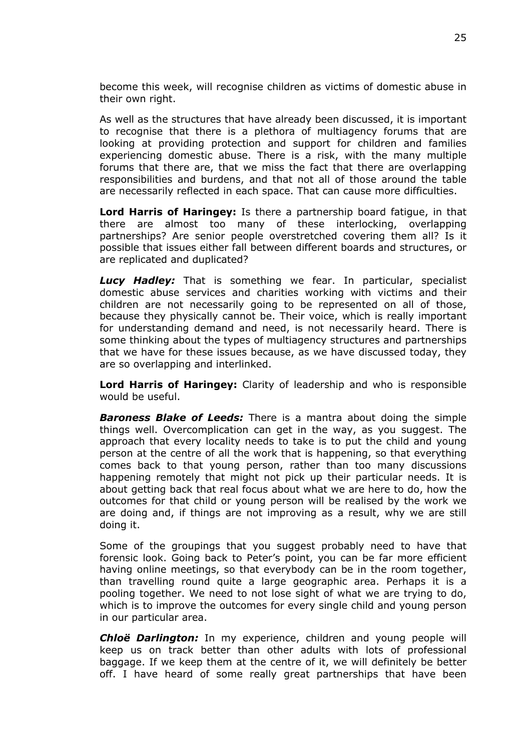become this week, will recognise children as victims of domestic abuse in their own right.

As well as the structures that have already been discussed, it is important to recognise that there is a plethora of multiagency forums that are looking at providing protection and support for children and families experiencing domestic abuse. There is a risk, with the many multiple forums that there are, that we miss the fact that there are overlapping responsibilities and burdens, and that not all of those around the table are necessarily reflected in each space. That can cause more difficulties.

**Lord Harris of Haringey:** Is there a partnership board fatigue, in that there are almost too many of these interlocking, overlapping partnerships? Are senior people overstretched covering them all? Is it possible that issues either fall between different boards and structures, or are replicated and duplicated?

*Lucy Hadley:* That is something we fear. In particular, specialist domestic abuse services and charities working with victims and their children are not necessarily going to be represented on all of those, because they physically cannot be. Their voice, which is really important for understanding demand and need, is not necessarily heard. There is some thinking about the types of multiagency structures and partnerships that we have for these issues because, as we have discussed today, they are so overlapping and interlinked.

**Lord Harris of Haringey:** Clarity of leadership and who is responsible would be useful.

*Baroness Blake of Leeds:* There is a mantra about doing the simple things well. Overcomplication can get in the way, as you suggest. The approach that every locality needs to take is to put the child and young person at the centre of all the work that is happening, so that everything comes back to that young person, rather than too many discussions happening remotely that might not pick up their particular needs. It is about getting back that real focus about what we are here to do, how the outcomes for that child or young person will be realised by the work we are doing and, if things are not improving as a result, why we are still doing it.

Some of the groupings that you suggest probably need to have that forensic look. Going back to Peter's point, you can be far more efficient having online meetings, so that everybody can be in the room together, than travelling round quite a large geographic area. Perhaps it is a pooling together. We need to not lose sight of what we are trying to do, which is to improve the outcomes for every single child and young person in our particular area.

*Chloë Darlington:* In my experience, children and young people will keep us on track better than other adults with lots of professional baggage. If we keep them at the centre of it, we will definitely be better off. I have heard of some really great partnerships that have been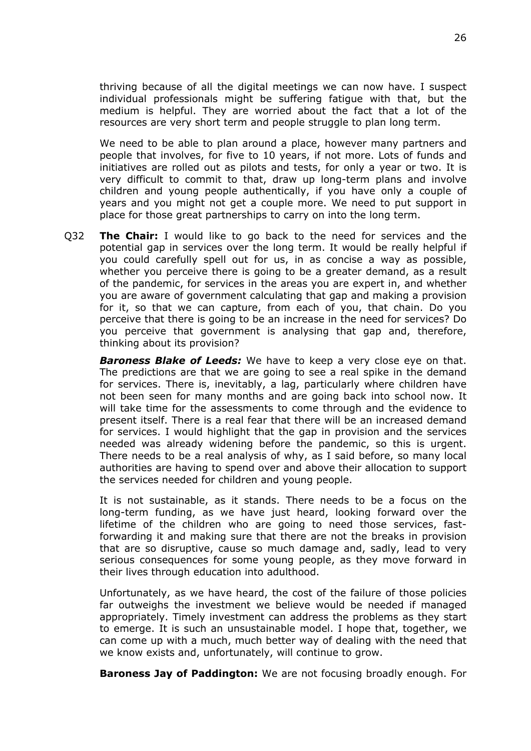thriving because of all the digital meetings we can now have. I suspect individual professionals might be suffering fatigue with that, but the medium is helpful. They are worried about the fact that a lot of the resources are very short term and people struggle to plan long term.

We need to be able to plan around a place, however many partners and people that involves, for five to 10 years, if not more. Lots of funds and initiatives are rolled out as pilots and tests, for only a year or two. It is very difficult to commit to that, draw up long-term plans and involve children and young people authentically, if you have only a couple of years and you might not get a couple more. We need to put support in place for those great partnerships to carry on into the long term.

Q32 **The Chair:** I would like to go back to the need for services and the potential gap in services over the long term. It would be really helpful if you could carefully spell out for us, in as concise a way as possible, whether you perceive there is going to be a greater demand, as a result of the pandemic, for services in the areas you are expert in, and whether you are aware of government calculating that gap and making a provision for it, so that we can capture, from each of you, that chain. Do you perceive that there is going to be an increase in the need for services? Do you perceive that government is analysing that gap and, therefore, thinking about its provision?

*Baroness Blake of Leeds:* We have to keep a very close eye on that. The predictions are that we are going to see a real spike in the demand for services. There is, inevitably, a lag, particularly where children have not been seen for many months and are going back into school now. It will take time for the assessments to come through and the evidence to present itself. There is a real fear that there will be an increased demand for services. I would highlight that the gap in provision and the services needed was already widening before the pandemic, so this is urgent. There needs to be a real analysis of why, as I said before, so many local authorities are having to spend over and above their allocation to support the services needed for children and young people.

It is not sustainable, as it stands. There needs to be a focus on the long-term funding, as we have just heard, looking forward over the lifetime of the children who are going to need those services, fastforwarding it and making sure that there are not the breaks in provision that are so disruptive, cause so much damage and, sadly, lead to very serious consequences for some young people, as they move forward in their lives through education into adulthood.

Unfortunately, as we have heard, the cost of the failure of those policies far outweighs the investment we believe would be needed if managed appropriately. Timely investment can address the problems as they start to emerge. It is such an unsustainable model. I hope that, together, we can come up with a much, much better way of dealing with the need that we know exists and, unfortunately, will continue to grow.

**Baroness Jay of Paddington:** We are not focusing broadly enough. For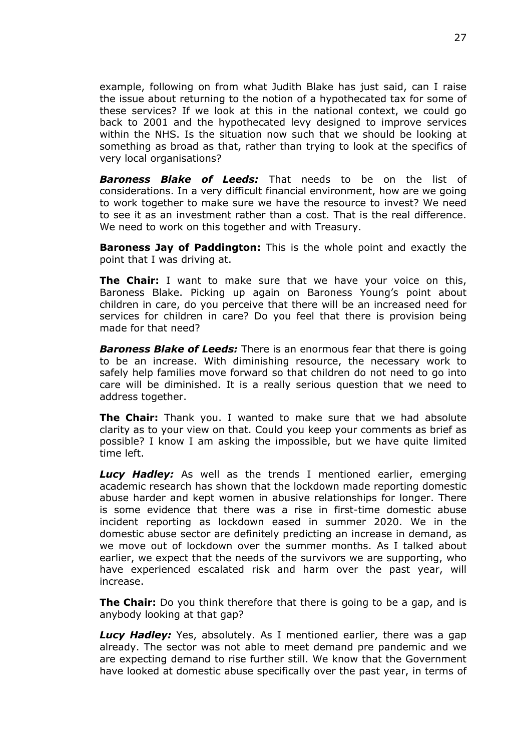example, following on from what Judith Blake has just said, can I raise the issue about returning to the notion of a hypothecated tax for some of these services? If we look at this in the national context, we could go back to 2001 and the hypothecated levy designed to improve services within the NHS. Is the situation now such that we should be looking at something as broad as that, rather than trying to look at the specifics of very local organisations?

*Baroness Blake of Leeds:* That needs to be on the list of considerations. In a very difficult financial environment, how are we going to work together to make sure we have the resource to invest? We need to see it as an investment rather than a cost. That is the real difference. We need to work on this together and with Treasury.

**Baroness Jay of Paddington:** This is the whole point and exactly the point that I was driving at.

**The Chair:** I want to make sure that we have your voice on this, Baroness Blake. Picking up again on Baroness Young's point about children in care, do you perceive that there will be an increased need for services for children in care? Do you feel that there is provision being made for that need?

*Baroness Blake of Leeds:* There is an enormous fear that there is going to be an increase. With diminishing resource, the necessary work to safely help families move forward so that children do not need to go into care will be diminished. It is a really serious question that we need to address together.

**The Chair:** Thank you. I wanted to make sure that we had absolute clarity as to your view on that. Could you keep your comments as brief as possible? I know I am asking the impossible, but we have quite limited time left.

*Lucy Hadley:* As well as the trends I mentioned earlier, emerging academic research has shown that the lockdown made reporting domestic abuse harder and kept women in abusive relationships for longer. There is some evidence that there was a rise in first-time domestic abuse incident reporting as lockdown eased in summer 2020. We in the domestic abuse sector are definitely predicting an increase in demand, as we move out of lockdown over the summer months. As I talked about earlier, we expect that the needs of the survivors we are supporting, who have experienced escalated risk and harm over the past year, will increase.

**The Chair:** Do you think therefore that there is going to be a gap, and is anybody looking at that gap?

*Lucy Hadley:* Yes, absolutely. As I mentioned earlier, there was a gap already. The sector was not able to meet demand pre pandemic and we are expecting demand to rise further still. We know that the Government have looked at domestic abuse specifically over the past year, in terms of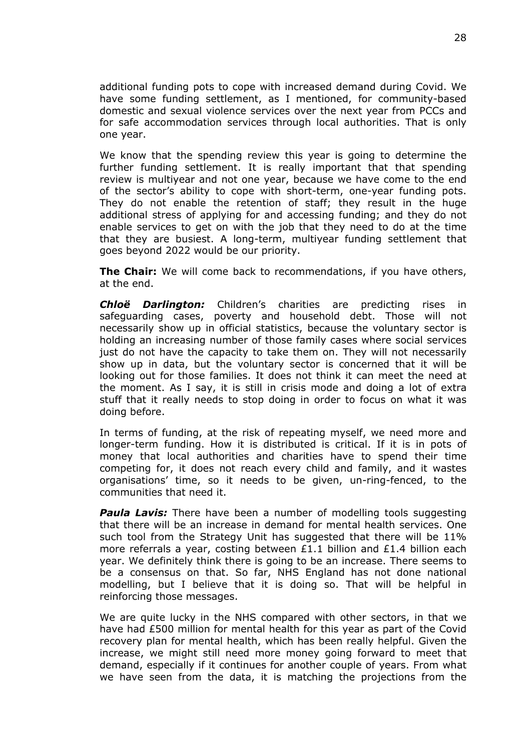additional funding pots to cope with increased demand during Covid. We have some funding settlement, as I mentioned, for community-based domestic and sexual violence services over the next year from PCCs and for safe accommodation services through local authorities. That is only one year.

We know that the spending review this year is going to determine the further funding settlement. It is really important that that spending review is multiyear and not one year, because we have come to the end of the sector's ability to cope with short-term, one-year funding pots. They do not enable the retention of staff; they result in the huge additional stress of applying for and accessing funding; and they do not enable services to get on with the job that they need to do at the time that they are busiest. A long-term, multiyear funding settlement that goes beyond 2022 would be our priority.

**The Chair:** We will come back to recommendations, if you have others, at the end.

*Chloë Darlington:* Children's charities are predicting rises in safeguarding cases, poverty and household debt. Those will not necessarily show up in official statistics, because the voluntary sector is holding an increasing number of those family cases where social services just do not have the capacity to take them on. They will not necessarily show up in data, but the voluntary sector is concerned that it will be looking out for those families. It does not think it can meet the need at the moment. As I say, it is still in crisis mode and doing a lot of extra stuff that it really needs to stop doing in order to focus on what it was doing before.

In terms of funding, at the risk of repeating myself, we need more and longer-term funding. How it is distributed is critical. If it is in pots of money that local authorities and charities have to spend their time competing for, it does not reach every child and family, and it wastes organisations' time, so it needs to be given, un-ring-fenced, to the communities that need it.

**Paula Lavis:** There have been a number of modelling tools suggesting that there will be an increase in demand for mental health services. One such tool from the Strategy Unit has suggested that there will be 11% more referrals a year, costing between £1.1 billion and £1.4 billion each year. We definitely think there is going to be an increase. There seems to be a consensus on that. So far, NHS England has not done national modelling, but I believe that it is doing so. That will be helpful in reinforcing those messages.

We are quite lucky in the NHS compared with other sectors, in that we have had £500 million for mental health for this year as part of the Covid recovery plan for mental health, which has been really helpful. Given the increase, we might still need more money going forward to meet that demand, especially if it continues for another couple of years. From what we have seen from the data, it is matching the projections from the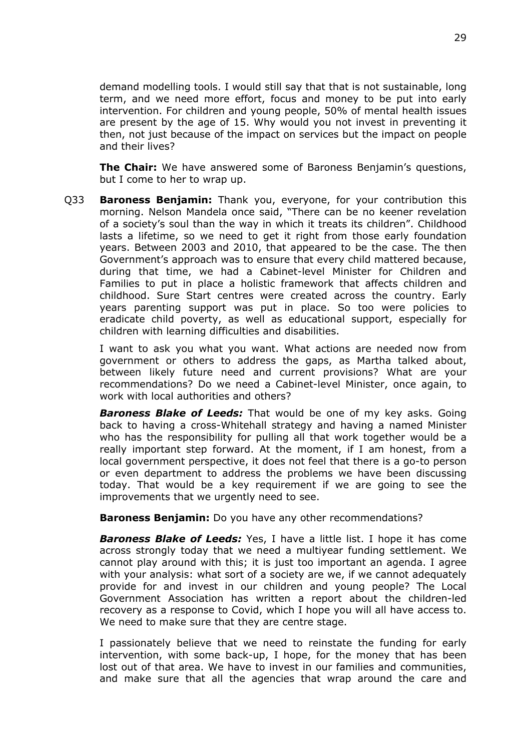demand modelling tools. I would still say that that is not sustainable, long term, and we need more effort, focus and money to be put into early intervention. For children and young people, 50% of mental health issues are present by the age of 15. Why would you not invest in preventing it then, not just because of the impact on services but the impact on people and their lives?

**The Chair:** We have answered some of Baroness Benjamin's questions, but I come to her to wrap up.

Q33 **Baroness Benjamin:** Thank you, everyone, for your contribution this morning. Nelson Mandela once said, "There can be no keener revelation of a society's soul than the way in which it treats its children". Childhood lasts a lifetime, so we need to get it right from those early foundation years. Between 2003 and 2010, that appeared to be the case. The then Government's approach was to ensure that every child mattered because, during that time, we had a Cabinet-level Minister for Children and Families to put in place a holistic framework that affects children and childhood. Sure Start centres were created across the country. Early years parenting support was put in place. So too were policies to eradicate child poverty, as well as educational support, especially for children with learning difficulties and disabilities.

I want to ask you what you want. What actions are needed now from government or others to address the gaps, as Martha talked about, between likely future need and current provisions? What are your recommendations? Do we need a Cabinet-level Minister, once again, to work with local authorities and others?

*Baroness Blake of Leeds:* That would be one of my key asks. Going back to having a cross-Whitehall strategy and having a named Minister who has the responsibility for pulling all that work together would be a really important step forward. At the moment, if I am honest, from a local government perspective, it does not feel that there is a go-to person or even department to address the problems we have been discussing today. That would be a key requirement if we are going to see the improvements that we urgently need to see.

**Baroness Benjamin:** Do you have any other recommendations?

*Baroness Blake of Leeds:* Yes, I have a little list. I hope it has come across strongly today that we need a multiyear funding settlement. We cannot play around with this; it is just too important an agenda. I agree with your analysis: what sort of a society are we, if we cannot adequately provide for and invest in our children and young people? The Local Government Association has written a report about the children-led recovery as a response to Covid, which I hope you will all have access to. We need to make sure that they are centre stage.

I passionately believe that we need to reinstate the funding for early intervention, with some back-up, I hope, for the money that has been lost out of that area. We have to invest in our families and communities, and make sure that all the agencies that wrap around the care and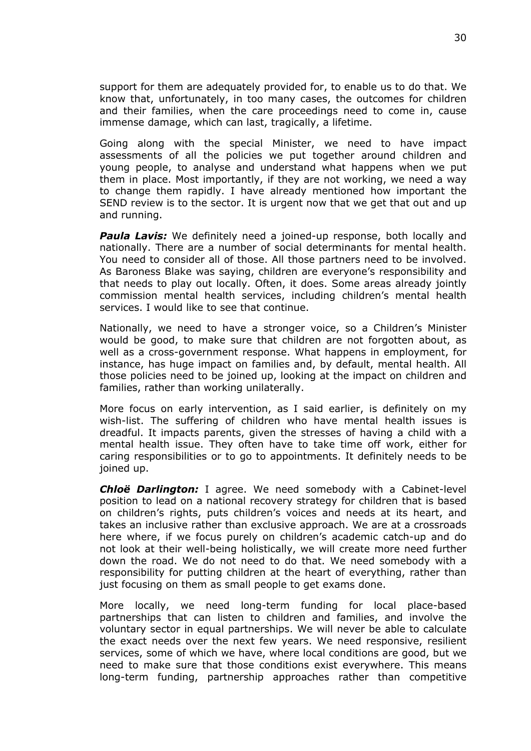support for them are adequately provided for, to enable us to do that. We know that, unfortunately, in too many cases, the outcomes for children and their families, when the care proceedings need to come in, cause immense damage, which can last, tragically, a lifetime.

Going along with the special Minister, we need to have impact assessments of all the policies we put together around children and young people, to analyse and understand what happens when we put them in place. Most importantly, if they are not working, we need a way to change them rapidly. I have already mentioned how important the SEND review is to the sector. It is urgent now that we get that out and up and running.

**Paula Lavis:** We definitely need a joined-up response, both locally and nationally. There are a number of social determinants for mental health. You need to consider all of those. All those partners need to be involved. As Baroness Blake was saying, children are everyone's responsibility and that needs to play out locally. Often, it does. Some areas already jointly commission mental health services, including children's mental health services. I would like to see that continue.

Nationally, we need to have a stronger voice, so a Children's Minister would be good, to make sure that children are not forgotten about, as well as a cross-government response. What happens in employment, for instance, has huge impact on families and, by default, mental health. All those policies need to be joined up, looking at the impact on children and families, rather than working unilaterally.

More focus on early intervention, as I said earlier, is definitely on my wish-list. The suffering of children who have mental health issues is dreadful. It impacts parents, given the stresses of having a child with a mental health issue. They often have to take time off work, either for caring responsibilities or to go to appointments. It definitely needs to be joined up.

*Chloë Darlington:* I agree. We need somebody with a Cabinet-level position to lead on a national recovery strategy for children that is based on children's rights, puts children's voices and needs at its heart, and takes an inclusive rather than exclusive approach. We are at a crossroads here where, if we focus purely on children's academic catch-up and do not look at their well-being holistically, we will create more need further down the road. We do not need to do that. We need somebody with a responsibility for putting children at the heart of everything, rather than just focusing on them as small people to get exams done.

More locally, we need long-term funding for local place-based partnerships that can listen to children and families, and involve the voluntary sector in equal partnerships. We will never be able to calculate the exact needs over the next few years. We need responsive, resilient services, some of which we have, where local conditions are good, but we need to make sure that those conditions exist everywhere. This means long-term funding, partnership approaches rather than competitive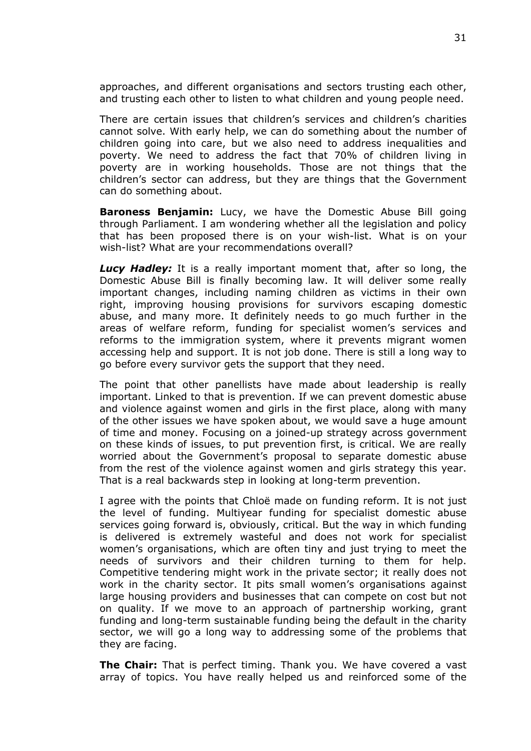approaches, and different organisations and sectors trusting each other, and trusting each other to listen to what children and young people need.

There are certain issues that children's services and children's charities cannot solve. With early help, we can do something about the number of children going into care, but we also need to address inequalities and poverty. We need to address the fact that 70% of children living in poverty are in working households. Those are not things that the children's sector can address, but they are things that the Government can do something about.

**Baroness Benjamin:** Lucy, we have the Domestic Abuse Bill going through Parliament. I am wondering whether all the legislation and policy that has been proposed there is on your wish-list. What is on your wish-list? What are your recommendations overall?

*Lucy Hadley:* It is a really important moment that, after so long, the Domestic Abuse Bill is finally becoming law. It will deliver some really important changes, including naming children as victims in their own right, improving housing provisions for survivors escaping domestic abuse, and many more. It definitely needs to go much further in the areas of welfare reform, funding for specialist women's services and reforms to the immigration system, where it prevents migrant women accessing help and support. It is not job done. There is still a long way to go before every survivor gets the support that they need.

The point that other panellists have made about leadership is really important. Linked to that is prevention. If we can prevent domestic abuse and violence against women and girls in the first place, along with many of the other issues we have spoken about, we would save a huge amount of time and money. Focusing on a joined-up strategy across government on these kinds of issues, to put prevention first, is critical. We are really worried about the Government's proposal to separate domestic abuse from the rest of the violence against women and girls strategy this year. That is a real backwards step in looking at long-term prevention.

I agree with the points that Chloë made on funding reform. It is not just the level of funding. Multiyear funding for specialist domestic abuse services going forward is, obviously, critical. But the way in which funding is delivered is extremely wasteful and does not work for specialist women's organisations, which are often tiny and just trying to meet the needs of survivors and their children turning to them for help. Competitive tendering might work in the private sector; it really does not work in the charity sector. It pits small women's organisations against large housing providers and businesses that can compete on cost but not on quality. If we move to an approach of partnership working, grant funding and long-term sustainable funding being the default in the charity sector, we will go a long way to addressing some of the problems that they are facing.

**The Chair:** That is perfect timing. Thank you. We have covered a vast array of topics. You have really helped us and reinforced some of the